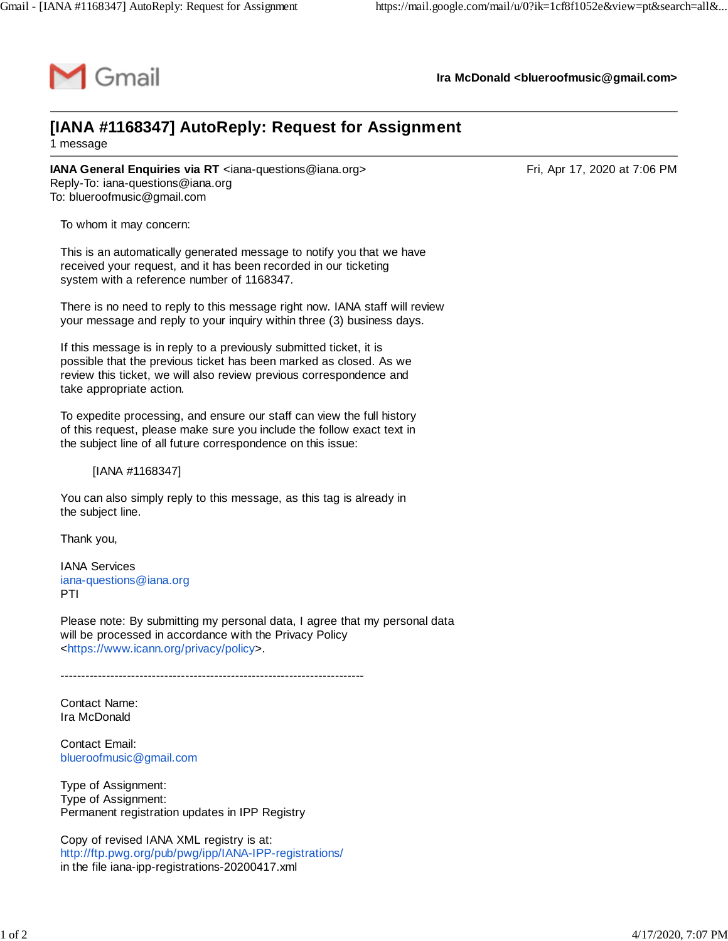

**Ira McDonald [<blueroofmusic@gmail.com>](mailto:blueroofmusic@gmail.com)**

## **[IANA #1168347] AutoReply: Request for Assignment** 1 message

**IANA General Enquiries via RT** <[iana-questions@iana.org](mailto:iana-questions@iana.org)>
Fri, Apr 17, 2020 at 7:06 PM Reply-To: [iana-questions@iana.org](mailto:iana-questions@iana.org) To: [blueroofmusic@gmail.com](mailto:blueroofmusic@gmail.com)

To whom it may concern:

This is an automatically generated message to notify you that we have received your request, and it has been recorded in our ticketing system with a reference number of 1168347.

There is no need to reply to this message right now. IANA staff will review your message and reply to your inquiry within three (3) business days.

If this message is in reply to a previously submitted ticket, it is possible that the previous ticket has been marked as closed. As we review this ticket, we will also review previous correspondence and take appropriate action.

To expedite processing, and ensure our staff can view the full history of this request, please make sure you include the follow exact text in the subject line of all future correspondence on this issue:

[IANA #1168347]

You can also simply reply to this message, as this tag is already in the subject line.

Thank you,

IANA Services [iana-questions@iana.org](mailto:iana-questions@iana.org) PTI

Please note: By submitting my personal data, I agree that my personal data will be processed in accordance with the Privacy Policy <[https://www.icann.org/privacy/policy>](https://www.icann.org/privacy/policy).

-------------------------------------------------------------------------

Contact Name: Ira McDonald

Contact Email: [blueroofmusic@gmail.com](mailto:blueroofmusic@gmail.com)

Type of Assignment: Type of Assignment: Permanent registration updates in IPP Registry

Copy of revised IANA XML registry is at: <http://ftp.pwg.org/pub/pwg/ipp/IANA-IPP-registrations/> in the file iana-ipp-registrations-20200417.xml